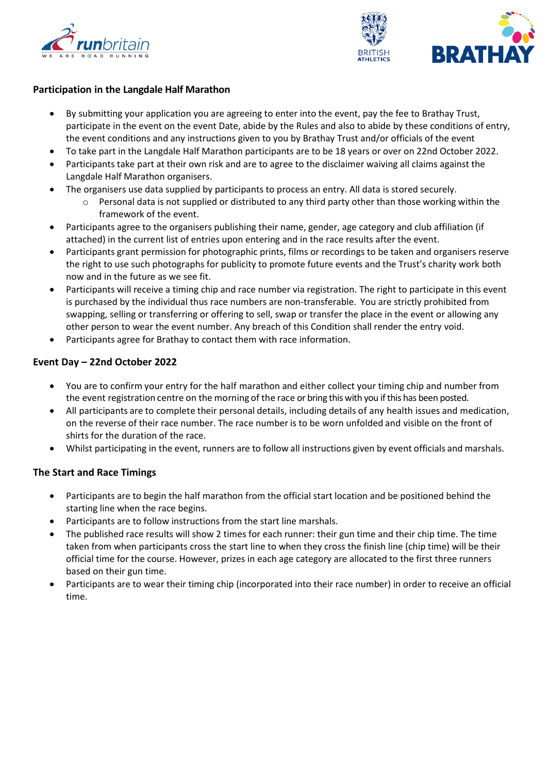



## **Participation in the Langdale Half Marathon**

- By submitting your application you are agreeing to enter into the event, pay the fee to Brathay Trust, participate in the event on the event Date, abide by the Rules and also to abide by these conditions of entry, the event conditions and any instructions given to you by Brathay Trust and/or officials of the event
- To take part in the Langdale Half Marathon participants are to be 18 years or over on 22nd October 2022.
- Participants take part at their own risk and are to agree to the disclaimer waiving all claims against the Langdale Half Marathon organisers.
- The organisers use data supplied by participants to process an entry. All data is stored securely.
	- $\circ$  Personal data is not supplied or distributed to any third party other than those working within the framework of the event.
- Participants agree to the organisers publishing their name, gender, age category and club affiliation (if attached) in the current list of entries upon entering and in the race results after the event.
- Participants grant permission for photographic prints, films or recordings to be taken and organisers reserve the right to use such photographs for publicity to promote future events and the Trust's charity work both now and in the future as we see fit.
- Participants will receive a timing chip and race number via registration. The right to participate in this event is purchased by the individual thus race numbers are non-transferable. You are strictly prohibited from swapping, selling or transferring or offering to sell, swap or transfer the place in the event or allowing any other person to wear the event number. Any breach of this Condition shall render the entry void.
- Participants agree for Brathay to contact them with race information.

#### **Event Day – 22nd October 2022**

- You are to confirm your entry for the half marathon and either collect your timing chip and number from the event registration centre on the morning of the race or bring this with you if this has been posted.
- All participants are to complete their personal details, including details of any health issues and medication, on the reverse of their race number. The race number is to be worn unfolded and visible on the front of shirts for the duration of the race.
- Whilst participating in the event, runners are to follow all instructions given by event officials and marshals.

# **The Start and Race Timings**

- Participants are to begin the half marathon from the official start location and be positioned behind the starting line when the race begins.
- Participants are to follow instructions from the start line marshals.
- The published race results will show 2 times for each runner: their gun time and their chip time. The time taken from when participants cross the start line to when they cross the finish line (chip time) will be their official time for the course. However, prizes in each age category are allocated to the first three runners based on their gun time.
- Participants are to wear their timing chip (incorporated into their race number) in order to receive an official time.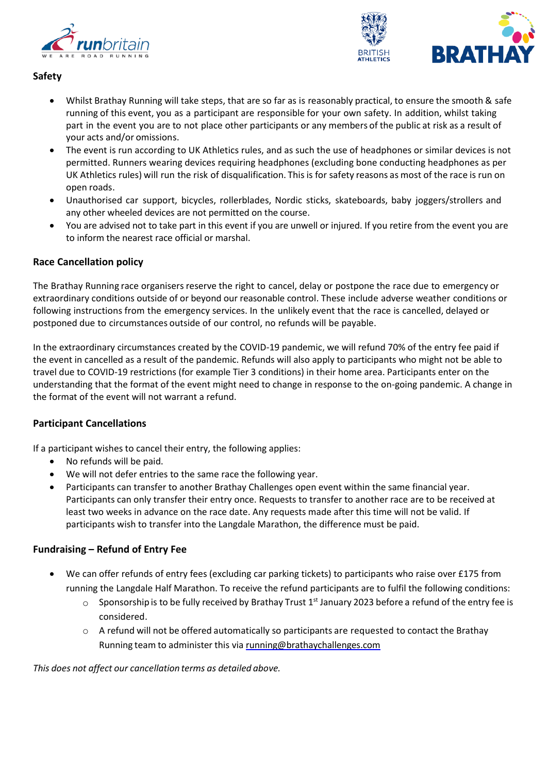



# **Safety**

- Whilst Brathay Running will take steps, that are so far as is reasonably practical, to ensure the smooth & safe running of this event, you as a participant are responsible for your own safety. In addition, whilst taking part in the event you are to not place other participants or any members of the public at risk as a result of your acts and/or omissions.
- The event is run according to UK Athletics rules, and as such the use of headphones or similar devices is not permitted. Runners wearing devices requiring headphones (excluding bone conducting headphones as per UK Athletics rules) will run the risk of disqualification. This is for safety reasons as most of the race is run on open roads.
- Unauthorised car support, bicycles, rollerblades, Nordic sticks, skateboards, baby joggers/strollers and any other wheeled devices are not permitted on the course.
- You are advised not to take part in this event if you are unwell or injured. If you retire from the event you are to inform the nearest race official or marshal.

# **Race Cancellation policy**

The Brathay Running race organisers reserve the right to cancel, delay or postpone the race due to emergency or extraordinary conditions outside of or beyond our reasonable control. These include adverse weather conditions or following instructions from the emergency services. In the unlikely event that the race is cancelled, delayed or postponed due to circumstances outside of our control, no refunds will be payable.

In the extraordinary circumstances created by the COVID-19 pandemic, we will refund 70% of the entry fee paid if the event in cancelled as a result of the pandemic. Refunds will also apply to participants who might not be able to travel due to COVID-19 restrictions (for example Tier 3 conditions) in their home area. Participants enter on the understanding that the format of the event might need to change in response to the on-going pandemic. A change in the format of the event will not warrant a refund.

# **Participant Cancellations**

If a participant wishes to cancel their entry, the following applies:

- No refunds will be paid.
- We will not defer entries to the same race the following year.
- Participants can transfer to another Brathay Challenges open event within the same financial year. Participants can only transfer their entry once. Requests to transfer to another race are to be received at least two weeks in advance on the race date. Any requests made after this time will not be valid. If participants wish to transfer into the Langdale Marathon, the difference must be paid.

# **Fundraising – Refund of Entry Fee**

- We can offer refunds of entry fees (excluding car parking tickets) to participants who raise over £175 from running the Langdale Half Marathon. To receive the refund participants are to fulfil the following conditions:
	- $\circ$  Sponsorship is to be fully received by Brathay Trust 1<sup>st</sup> January 2023 before a refund of the entry fee is considered.
	- o A refund will not be offered automatically so participants are requested to contact the Brathay Running team to administer this via [running@brathaychallenges.com](mailto:running@brathaychallenges.com)

*This does not affect our cancellation terms as detailed above.*